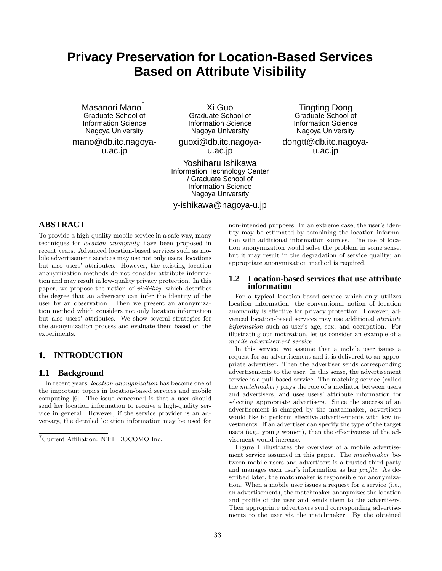# **Privacy Preservation for Location-Based Services Based on Attribute Visibility**

Masanori Mano ∗ Graduate School of Information Science Nagoya University

mano@db.itc.nagoyau.ac.jp

Xi Guo Graduate School of Information Science Nagoya University

guoxi@db.itc.nagoyau.ac.jp

Yoshiharu Ishikawa Information Technology Center / Graduate School of Information Science Nagoya University

y-ishikawa@nagoya-u.jp

Tingting Dong Graduate School of Information Science Nagoya University

dongtt@db.itc.nagoyau.ac.jp

# **ABSTRACT**

To provide a high-quality mobile service in a safe way, many techniques for location anonymity have been proposed in recent years. Advanced location-based services such as mobile advertisement services may use not only users' locations but also users' attributes. However, the existing location anonymization methods do not consider attribute information and may result in low-quality privacy protection. In this paper, we propose the notion of visibility, which describes the degree that an adversary can infer the identity of the user by an observation. Then we present an anonymization method which considers not only location information but also users' attributes. We show several strategies for the anonymization process and evaluate them based on the experiments.

## **1. INTRODUCTION**

## **1.1 Background**

In recent years, location anonymization has become one of the important topics in location-based services and mobile computing [6]. The issue concerned is that a user should send her location information to receive a high-quality service in general. However, if the service provider is an adversary, the detailed location information may be used for

non-intended purposes. In an extreme case, the user's identity may be estimated by combining the location information with additional information sources. The use of location anonymization would solve the problem in some sense, but it may result in the degradation of service quality; an appropriate anonymization method is required.

#### **1.2 Location-based services that use attribute information**

For a typical location-based service which only utilizes location information, the conventional notion of location anonymity is effective for privacy protection. However, advanced location-based services may use additional attribute information such as user's age, sex, and occupation. For illustrating our motivation, let us consider an example of a mobile advertisement service.

In this service, we assume that a mobile user issues a request for an advertisement and it is delivered to an appropriate advertiser. Then the advertiser sends corresponding advertisements to the user. In this sense, the advertisement service is a pull-based service. The matching service (called the *matchmaker*) plays the role of a mediator between users and advertisers, and uses users' attribute information for selecting appropriate advertisers. Since the success of an advertisement is charged by the matchmaker, advertisers would like to perform effective advertisements with low investments. If an advertiser can specify the type of the target users (e.g., young women), then the effectiveness of the advisement would increase.

Figure 1 illustrates the overview of a mobile advertisement service assumed in this paper. The matchmaker between mobile users and advertisers is a trusted third party and manages each user's information as her profile. As described later, the matchmaker is responsible for anonymization. When a mobile user issues a request for a service (i.e., an advertisement), the matchmaker anonymizes the location and profile of the user and sends them to the advertisers. Then appropriate advertisers send corresponding advertisements to the user via the matchmaker. By the obtained

<sup>∗</sup>Current Affiliation: NTT DOCOMO Inc.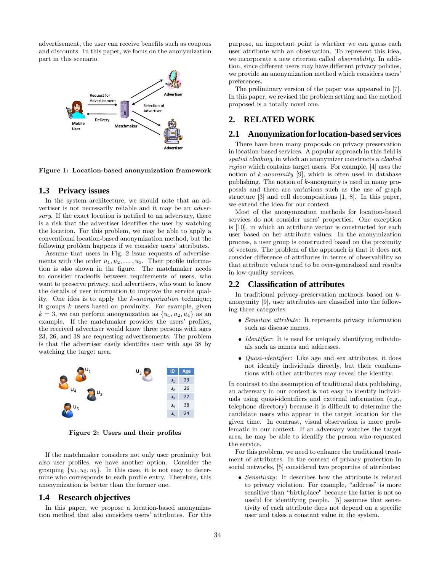advertisement, the user can receive benefits such as coupons and discounts. In this paper, we focus on the anonymization part in this scenario.



Figure 1: Location-based anonymization framework

#### **1.3 Privacy issues**

In the system architecture, we should note that an advertiser is not necessarily reliable and it may be an adversary. If the exact location is notified to an adversary, there is a risk that the advertiser identifies the user by watching the location. For this problem, we may be able to apply a conventional location-based anonymization method, but the following problem happens if we consider users' attributes.

Assume that users in Fig. 2 issue requests of advertisements with the order  $u_1, u_2, \ldots, u_5$ . Their profile information is also shown in the figure. The matchmaker needs to consider tradeoffs between requirements of users, who want to preserve privacy, and advertisers, who want to know the details of user information to improve the service quality. One idea is to apply the k-anonymization technique; it groups  $k$  users based on proximity. For example, given  $k = 3$ , we can perform anonymization as  $\{u_1, u_2, u_4\}$  as an example. If the matchmaker provides the users' profiles, the received advertiser would know three persons with ages 23, 26, and 38 are requesting advertisements. The problem is that the advertiser easily identifies user with age 38 by watching the target area.



Figure 2: Users and their profiles

If the matchmaker considers not only user proximity but also user profiles, we have another option. Consider the grouping  $\{u_1, u_2, u_5\}$ . In this case, it is not easy to determine who corresponds to each profile entry. Therefore, this anonymization is better than the former one.

#### **1.4 Research objectives**

In this paper, we propose a location-based anonymization method that also considers users' attributes. For this purpose, an important point is whether we can guess each user attribute with an observation. To represent this idea, we incorporate a new criterion called observability. In addition, since different users may have different privacy policies, we provide an anonymization method which considers users' preferences.

The preliminary version of the paper was appeared in [7]. In this paper, we revised the problem setting and the method proposed is a totally novel one.

## **2. RELATED WORK**

## **2.1 Anonymization for location-based services**

There have been many proposals on privacy preservation in location-based services. A popular approach in this field is spatial cloaking, in which an anonymizer constructs a cloaked region which contains target users. For example, [4] uses the notion of  $k$ -anonimity [9], which is often used in database publishing. The notion of k-anonymity is used in many proposals and there are variations such as the use of graph structure [3] and cell decompositions [1, 8]. In this paper, we extend the idea for our context.

Most of the anonymization methods for location-based services do not consider users' properties. One exception is [10], in which an attribute vector is constructed for each user based on her attribute values. In the anonymization process, a user group is constructed based on the proximity of vectors. The problem of the approach is that it does not consider difference of attributes in terms of observability so that attribute values tend to be over-generalized and results in low-quality services.

#### **2.2 Classification of attributes**

In traditional privacy-preservation methods based on kanonymity [9], user attributes are classified into the following three categories:

- Sensitive attribute: It represents privacy information such as disease names.
- Identifier: It is used for uniquely identifying individuals such as names and addresses.
- *Quasi-identifier*: Like age and sex attributes, it does not identify individuals directly, but their combinations with other attributes may reveal the identity.

In contrast to the assumption of traditional data publishing, an adversary in our context is not easy to identify individuals using quasi-identifiers and external information (e.g., telephone directory) because it is difficult to determine the candidate users who appear in the target location for the given time. In contrast, visual observation is more problematic in our context. If an adversary watches the target area, he may be able to identify the person who requested the service.

For this problem, we need to enhance the traditional treatment of attributes. In the context of privacy protection in social networks, [5] considered two properties of attributes:

• Sensitivity: It describes how the attribute is related to privacy violation. For example, "address" is more sensitive than "birthplace" because the latter is not so useful for identifying people. [5] assumes that sensitivity of each attribute does not depend on a specific user and takes a constant value in the system.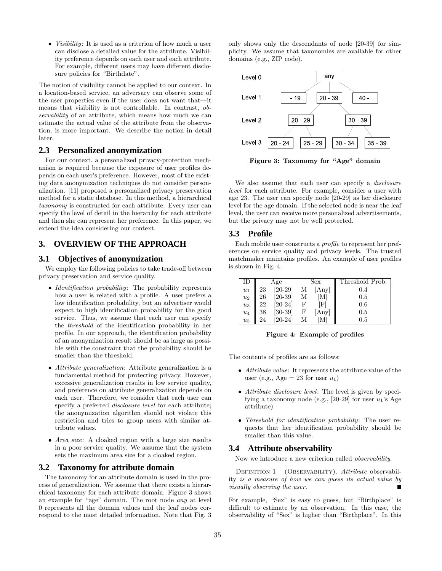• *Visibility*: It is used as a criterion of how much a user can disclose a detailed value for the attribute. Visibility preference depends on each user and each attribute. For example, different users may have different disclosure policies for "Birthdate".

The notion of visibility cannot be applied to our context. In a location-based service, an adversary can observe some of the user properties even if the user does not want that—it means that visibility is not controllable. In contrast, observability of an attribute, which means how much we can estimate the actual value of the attribute from the observation, is more important. We describe the notion in detail later.

## **2.3 Personalized anonymization**

For our context, a personalized privacy-protection mechanism is required because the exposure of user profiles depends on each user's preference. However, most of the existing data anonymization techniques do not consider personalization. [11] proposed a personalized privacy preservation method for a static database. In this method, a hierarchical taxonomy is constructed for each attribute. Every user can specify the level of detail in the hierarchy for each attribute and then she can represent her preference. In this paper, we extend the idea considering our context.

## **3. OVERVIEW OF THE APPROACH**

## **3.1 Objectives of anonymization**

We employ the following policies to take trade-off between privacy preservation and service quality.

- Identification probability: The probability represents how a user is related with a profile. A user prefers a low identification probability, but an advertiser would expect to high identification probability for the good service. Thus, we assume that each user can specify the threshold of the identification probability in her profile. In our approach, the identification probability of an anonymization result should be as large as possible with the constraint that the probability should be smaller than the threshold.
- Attribute generalization: Attribute generalization is a fundamental method for protecting privacy. However, excessive generalization results in low service quality, and preference on attribute generalization depends on each user. Therefore, we consider that each user can specify a preferred *disclosure level* for each attribute; the anonymization algorithm should not violate this restriction and tries to group users with similar attribute values.
- Area size: A cloaked region with a large size results in a poor service quality. We assume that the system sets the maximum area size for a cloaked region.

## **3.2 Taxonomy for attribute domain**

The taxonomy for an attribute domain is used in the process of generalization. We assume that there exists a hierarchical taxonomy for each attribute domain. Figure 3 shows an example for "age" domain. The root node any at level 0 represents all the domain values and the leaf nodes correspond to the most detailed information. Note that Fig. 3 only shows only the descendants of node [20-39] for simplicity. We assume that taxonomies are available for other domains (e.g., ZIP code).



Figure 3: Taxonomy for "Age" domain

We also assume that each user can specify a *disclosure* level for each attribute. For example, consider a user with age 23. The user can specify node [20-29] as her disclosure level for the age domain. If the selected node is near the leaf level, the user can receive more personalized advertisements, but the privacy may not be well protected.

## **3.3 Profile**

Each mobile user constructs a profile to represent her preferences on service quality and privacy levels. The trusted matchmaker maintains profiles. An example of user profiles is shown in Fig. 4.

| II)   | Age |                | Sex          | Threshold Prob. |
|-------|-----|----------------|--------------|-----------------|
| $u_1$ | 23  | $[20-29]$      | Any          | 0.4             |
| $u_2$ | 26  | $[20-39]$<br>М | $\mathbf{M}$ | 0.5             |
| $u_3$ | 22  | $[20-24]$<br>F | F            | 0.6             |
| $u_4$ | 38  | $[30-39]$<br>F | Any          | 0.5             |
| $u_5$ | 24  | $[20-24]$      | M            | 0.5             |

Figure 4: Example of profiles

The contents of profiles are as follows:

- Attribute value: It represents the attribute value of the user (e.g., Age  $= 23$  for user  $u_1$ )
- Attribute disclosure level: The level is given by specifying a taxonomy node (e.g., [20-29] for user  $u_1$ 's Age attribute)
- Threshold for identification probability: The user requests that her identification probability should be smaller than this value.

#### **3.4 Attribute observability**

Now we introduce a new criterion called observability.

DEFINITION 1 (OBSERVABILITY). Attribute observability is a measure of how we can guess its actual value by visually observing the user.

For example, "Sex" is easy to guess, but "Birthplace" is difficult to estimate by an observation. In this case, the observability of "Sex" is higher than "Birthplace". In this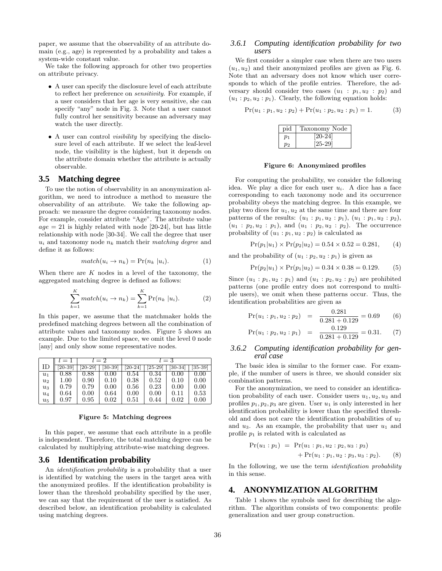paper, we assume that the observability of an attribute domain (e.g., age) is represented by a probability and takes a system-wide constant value.

We take the following approach for other two properties on attribute privacy.

- A user can specify the disclosure level of each attribute to reflect her preference on sensitivity. For example, if a user considers that her age is very sensitive, she can specify "any" node in Fig. 3. Note that a user cannot fully control her sensitivity because an adversary may watch the user directly.
- A user can control *visibility* by specifying the disclosure level of each attribute. If we select the leaf-level node, the visibility is the highest, but it depends on the attribute domain whether the attribute is actually observable.

## **3.5 Matching degree**

To use the notion of observability in an anonymization algorithm, we need to introduce a method to measure the observability of an attribute. We take the following approach: we measure the degree considering taxonomy nodes. For example, consider attribute "Age". The attribute value  $age = 21$  is highly related with node [20-24], but has little relationship with node [30-34]. We call the degree that user  $u_i$  and taxonomy node  $n_k$  match their matching degree and define it as follows:

$$
match(u_i \to n_k) = Pr(n_k | u_i).
$$
 (1)

When there are  $K$  nodes in a level of the taxonomy, the aggregated matching degree is defined as follows:

$$
\sum_{k=1}^{K} match(u_i \rightarrow n_k) = \sum_{k=1}^{K} Pr(n_k | u_i).
$$
 (2)

In this paper, we assume that the matchmaker holds the predefined matching degrees between all the combination of attribute values and taxonomy nodes. Figure 5 shows an example. Due to the limited space, we omit the level 0 node [any] and only show some representative nodes.

|       | $l = 1$   | $l=2$     |           | $l=3$     |       |           |           |
|-------|-----------|-----------|-----------|-----------|-------|-----------|-----------|
| ΙD    | $[20-39]$ | $[20-29]$ | $[30-39]$ | $[20-24]$ | 25-29 | $[30-34]$ | $[35-39]$ |
| $u_1$ | 0.88      | 0.88      | 0.00      | 0.54      | 0.34  | 0.00      | 0.00      |
| $u_2$ | 1.00      | 0.90      | 0.10      | 0.38      | 0.52  | 0.10      | 0.00      |
| $u_3$ | 0.79      | 0.79      | 0.00      | 0.56      | 0.23  | 0.00      | 0.00      |
| $u_4$ | 0.64      | 0.00      | 0.64      | 0.00      | 0.00  | 0.11      | 0.53      |
| $u_5$ | 0.97      | 0.95      | 0.02      | 0.51      | 0.44  | 0.02      | 0.00      |

#### Figure 5: Matching degrees

In this paper, we assume that each attribute in a profile is independent. Therefore, the total matching degree can be calculated by multiplying attribute-wise matching degrees.

#### **3.6 Identification probability**

An identification probability is a probability that a user is identified by watching the users in the target area with the anonymized profiles. If the identification probability is lower than the threshold probability specified by the user, we can say that the requirement of the user is satisfied. As described below, an identification probability is calculated using matching degrees.

#### *3.6.1 Computing identification probability for two users*

We first consider a simpler case when there are two users  $(u_1, u_2)$  and their anonymized profiles are given as Fig. 6. Note that an adversary does not know which user corresponds to which of the profile entries. Therefore, the adversary should consider two cases  $(u_1 : p_1, u_2 : p_2)$  and  $(u_1 : p_2, u_2 : p_1)$ . Clearly, the following equation holds:

$$
Pr(u_1:p_1, u_2:p_2) + Pr(u_1:p_2, u_2:p_1) = 1.
$$
 (3)

| pid   | Taxonomy Node               |
|-------|-----------------------------|
| $p_1$ | $\left[20\text{-}24\right]$ |
| Dэ    | $[25-29]$                   |

Figure 6: Anonymized profiles

For computing the probability, we consider the following idea. We play a dice for each user  $u_i$ . A dice has a face corresponding to each taxonomy node and its occurrence probability obeys the matching degree. In this example, we play two dices for  $u_1, u_2$  at the same time and there are four patterns of the results:  $(u_1 : p_1, u_2 : p_1), (u_1 : p_1, u_2 : p_2),$  $(u_1 : p_2, u_2 : p_1)$ , and  $(u_1 : p_2, u_2 : p_2)$ . The occurrence probability of  $(u_1 : p_1, u_2 : p_2)$  is calculated as

$$
Pr(p_1|u_1) \times Pr(p_2|u_2) = 0.54 \times 0.52 = 0.281,
$$
 (4)

and the probability of  $(u_1 : p_2, u_2 : p_1)$  is given as

$$
Pr(p_2|u_1) \times Pr(p_1|u_2) = 0.34 \times 0.38 = 0.129.
$$
 (5)

Since  $(u_1 : p_1, u_2 : p_1)$  and  $(u_1 : p_2, u_2 : p_2)$  are prohibited patterns (one profile entry does not correspond to multiple users), we omit when these patterns occur. Thus, the identification probabilities are given as

$$
Pr(u_1:p_1, u_2:p_2) = \frac{0.281}{0.281 + 0.129} = 0.69
$$
 (6)

$$
Pr(u_1:p_2, u_2:p_1) = \frac{0.129}{0.281 + 0.129} = 0.31. (7)
$$

#### *3.6.2 Computing identification probability for general case*

The basic idea is similar to the former case. For example, if the number of users is three, we should consider six combination patterns.

For the anonymization, we need to consider an identification probability of each user. Consider users  $u_1, u_2, u_3$  and profiles  $p_1, p_2, p_3$  are given. User  $u_1$  is only interested in her identification probability is lower than the specified threshold and does not care the identification probabilities of  $u_2$ and  $u_3$ . As an example, the probability that user  $u_1$  and profile  $p_1$  is related with is calculated as

$$
Pr(u_1:p_1) = Pr(u_1:p_1, u_2:p_2, u_3:p_3) + Pr(u_1:p_1, u_2:p_3, u_3:p_2).
$$
 (8)

In the following, we use the term *identification probability* in this sense.

#### **4. ANONYMIZATION ALGORITHM**

Table 1 shows the symbols used for describing the algorithm. The algorithm consists of two components: profile generalization and user group construction.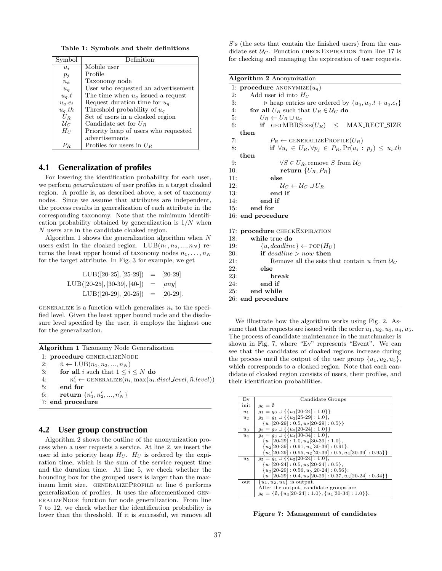Table 1: Symbols and their definitions

| Symbol          | Definition                           |
|-----------------|--------------------------------------|
| $u_i$           | Mobile user                          |
| $p_i$           | Profile                              |
| $n_k$           | Taxonomy node                        |
| $u_{q}$         | User who requested an advertisement  |
| $u_q.t$         | The time when $u_q$ issued a request |
| $u_q.e_t$       | Request duration time for $u_q$      |
| $u_q.th$        | Threshold probability of $u_a$       |
| $U_R$           | Set of users in a cloaked region     |
| $\mathcal{U}_C$ | Candidate set for $U_R$              |
| $H_U$           | Priority heap of users who requested |
|                 | advertisements                       |
|                 | Profiles for users in $U_R$          |

## **4.1 Generalization of profiles**

For lowering the identification probability for each user, we perform generalization of user profiles in a target cloaked region. A profile is, as described above, a set of taxonomy nodes. Since we assume that attributes are independent, the process results in generalization of each attribute in the corresponding taxonomy. Note that the minimum identification probability obtained by generalization is  $1/N$  when N users are in the candidate cloaked region.

Algorithm 1 shows the generalization algorithm when  $N$ users exist in the cloaked region.  $LUB(n_1, n_2, ..., n_N)$  returns the least upper bound of taxonomy nodes  $n_1, \ldots, n_N$ for the target attribute. In Fig. 3 for example, we get

LUB([20-25], [25-29]) = [20-29] LUB([20-25], [30-39], [40-]) = [any] LUB([20-29], [20-25]) = [20-29].

GENERALIZE is a function which generalizes  $n_i$  to the specified level. Given the least upper bound node and the disclosure level specified by the user, it employs the highest one for the generalization.

|    | <b>Algorithm 1</b> Taxonomy Node Generalization                                         |
|----|-----------------------------------------------------------------------------------------|
|    | 1: procedure GENERALIZENODE                                                             |
| 2: | $\tilde{n} \leftarrow \text{LUB}(n_1, n_2, , n_N)$                                      |
| 3: | for all i such that $1 \leq i \leq N$ do                                                |
| 4: | $n'_i \leftarrow \text{GENERALIZE}(n_i, \text{max}(u_i.discl\_level, \tilde{n}.level))$ |
| 5: | end for                                                                                 |
| 6: | return $\{n'_1, n'_2, , n'_N\}$                                                         |
|    | 7: end procedure                                                                        |

## **4.2 User group construction**

Algorithm 2 shows the outline of the anonymization process when a user requests a service. At line 2, we insert the user id into priority heap  $H_U$ .  $H_U$  is ordered by the expiration time, which is the sum of the service request time and the duration time. At line 5, we check whether the bounding box for the grouped users is larger than the maximum limit size. GENERALIZEPROFILE at line 6 performs generalization of profiles. It uses the aforementioned generalizeNode function for node generalization. From line 7 to 12, we check whether the identification probability is lower than the threshold. If it is successful, we remove all

S's (the sets that contain the finished users) from the candidate set  $U_C$ . Function CHECKEXPIRATION from line 17 is for checking and managing the expireation of user requests.

| <b>Algorithm 2</b> Anonymization                                                 |
|----------------------------------------------------------------------------------|
| 1: <b>procedure</b> ANONYMIZE $(u_q)$                                            |
| Add user id into $H_U$<br>2:                                                     |
| 3:<br>$\triangleright$ heap entries are ordered by $\{u_q, u_q. t + u_q. e_t\}$  |
| 4:<br>for all $U_R$ such that $U_R \in \mathcal{U}_C$ do                         |
| 5:<br>$U_R \leftarrow U_R \cup u_q$                                              |
| if $GETMBRSIZE(U_R) < MAX\_RECT_SIZE$<br>6:                                      |
| then                                                                             |
| 7:<br>$P_R \leftarrow$ GENERALIZEPROFILE $(U_R)$                                 |
| if $\forall u_i \in U_R, \forall p_i \in P_R, \Pr(u_i : p_i) \leq u_i$ .th<br>8: |
| then                                                                             |
| $\forall S \in U_R$ , remove S from $\mathcal{U}_C$<br>9:                        |
| return $\{U_R, P_R\}$<br>10:                                                     |
| 11:<br>else                                                                      |
| 12:<br>$\mathcal{U}_C \leftarrow \mathcal{U}_C \cup U_R$                         |
| 13:<br>end if                                                                    |
| 14:<br>end if                                                                    |
| end for<br>15:                                                                   |
| 16: end procedure                                                                |
|                                                                                  |
| 17: <b>procedure</b> CHECKEXPIRATION                                             |
| while true do<br>18:                                                             |
| $\{u, deadline\} \leftarrow \text{POP}(H_U)$<br>19:                              |
| if deadline $>$ now then<br>20:                                                  |
| 21:<br>Remove all the sets that contain u from $\mathcal{U}_C$                   |
| 22:<br>else                                                                      |
| 23:<br>break                                                                     |
| 24:<br>end if                                                                    |
| 25:<br>end while                                                                 |
| 26: end procedure                                                                |

We illustrate how the algorithm works using Fig. 2. Assume that the requests are issued with the order  $u_1, u_2, u_3, u_4, u_5$ . The process of candidate maintenance in the matchmaker is shown in Fig. 7, where "Ev" represents "Event". We can see that the candidates of cloaked regions increase during the process until the output of the user group  $\{u_1, u_2, u_5\},\$ which corresponds to a cloaked region. Note that each candidate of cloaked region consists of users, their profiles, and their identification probabilities.

| Ev      | Candidate Groups                                                 |
|---------|------------------------------------------------------------------|
| init    | $g_0 = \emptyset$                                                |
| $u_1$   | $g_1 = g_0 \cup \{\{u_1[20-24]:\overline{1,0}\}\}\$              |
| $u_2$   | $q_2 = q_1 \cup \{ \{u_2[25-29]:1.0\},\}$                        |
|         | ${u_1[20-29]:0.5, u_2[20-29]:0.5}$                               |
| $u_3$   | $g_3 = g_2 \cup \{\{u_3[20-24]:1.0\}\}\$                         |
| $u_4$   | $g_4 = g_3 \cup \{ \{ u_4 [30-34] : 1.0 \}, \}$                  |
|         | ${u_1[20-29]: 1.0, u_4[30-39]: 1.0},$                            |
|         | ${u_2[20-39]:0.91, u_4[30-39]:0.91},$                            |
|         | ${u_1[20-29]: 0.55, u_2[20-39]: 0.5, u_4[30-39]: 0.95}$          |
| $u_{5}$ | $q_5 = q_4 \cup \{ \{u_5[20-24]:1.0\},\}$                        |
|         | ${u_1[20-24]:0.5, u_5[20-24]:0.5},$                              |
|         | ${u_2[20-29]: 0.56, u_5[20-24]: 0.56},$                          |
|         | ${u_1[20-29]: 0.4, u_2[20-29]: 0.37, u_5[20-24]: 0.34}$          |
| out     | ${u_1, u_2, u_5}$ is output.                                     |
|         | After the output, candidate groups are                           |
|         | $q_6 = \{\emptyset, \{u_3[20-24]: 1.0\}, \{u_4[30-34]: 1.0\}\}.$ |

Figure 7: Management of candidates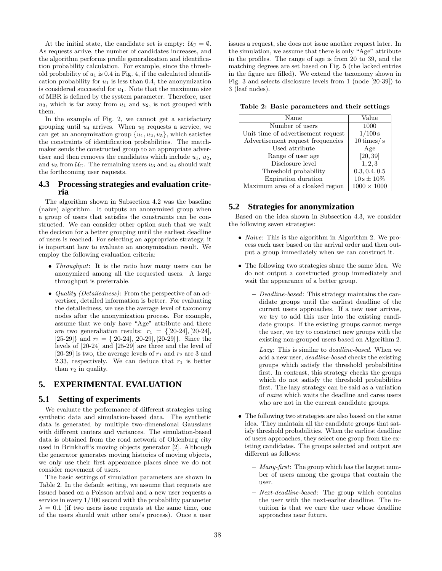At the initial state, the candidate set is empty:  $U_C = \emptyset$ . As requests arrive, the number of candidates increases, and the algorithm performs profile generalization and identification probability calculation. For example, since the threshold probability of  $u_1$  is 0.4 in Fig. 4, if the calculated identification probability for  $u_1$  is less than 0.4, the anonymization is considered successful for  $u_1$ . Note that the maximum size of MBR is defined by the system parameter. Therefore, user  $u_3$ , which is far away from  $u_1$  and  $u_2$ , is not grouped with them.

In the example of Fig. 2, we cannot get a satisfactory grouping until  $u_4$  arrives. When  $u_5$  requests a service, we can get an anonymization group  $\{u_1, u_2, u_5\}$ , which satisfies the constraints of identification probabilities. The matchmaker sends the constructed group to an appropriate advertiser and then removes the candidates which include  $u_1, u_2,$ and  $u_5$  from  $\mathcal{U}_C$ . The remaining users  $u_3$  and  $u_4$  should wait the forthcoming user requests.

## **4.3 Processing strategies and evaluation criteria**

The algorithm shown in Subsection 4.2 was the baseline (naive) algorithm. It outputs an anonymized group when a group of users that satisfies the constraints can be constructed. We can consider other option such that we wait the decision for a better grouping until the earliest deadline of users is reached. For selecting an appropriate strategy, it is important how to evaluate an anonymization result. We employ the following evaluation criteria:

- *Throughput*: It is the ratio how many users can be anonymized among all the requested users. A large throughput is preferrable.
- Quality (Detailedness): From the perspective of an advertiser, detailed information is better. For evaluating the detailedness, we use the average level of taxonomy nodes after the anonymization process. For example, assume that we only have "Age" attribute and there are two generaliation results:  $r_1 = \{20-24, 20-24\}$ , [25-29]} and  $r_2 = \{[20-24], [20-29], [20-29]\}$ . Since the levels of [20-24] and [25-29] are three and the level of [20-29] is two, the average levels of  $r_1$  and  $r_2$  are 3 and 2.33, respectively. We can deduce that  $r_1$  is better than  $r_2$  in quality.

## **5. EXPERIMENTAL EVALUATION**

## **5.1 Setting of experiments**

We evaluate the performance of different strategies using synthetic data and simulation-based data. The synthetic data is generated by multiple two-dimensional Gaussians with different centers and variances. The simulation-based data is obtained from the road network of Oldenburg city used in Brinkhoff's moving objects generator [2]. Although the generator generates moving histories of moving objects, we only use their first appearance places since we do not consider movement of users.

The basic settings of simulation parameters are shown in Table 2. In the default setting, we assume that requests are issued based on a Poisson arrival and a new user requests a service in every 1/100 second with the probability parameter  $\lambda = 0.1$  (if two users issue requests at the same time, one of the users should wait other one's process). Once a user issues a request, she does not issue another request later. In the simulation, we assume that there is only "Age" attribute in the profiles. The range of age is from 20 to 39, and the matching degrees are set based on Fig. 5 (the lacked entries in the figure are filled). We extend the taxonomy shown in Fig. 3 and selects disclosure levels from 1 (node [20-39]) to 3 (leaf nodes).

Table 2: Basic parameters and their settings

| Name                               | Value              |
|------------------------------------|--------------------|
| Number of users                    | 1000               |
| Unit time of advertisement request | 1/100 s            |
| Advertisement request frequencies  | $10 \times / s$    |
| Used attribute                     | Age                |
| Range of user age                  | [20, 39]           |
| Disclosure level                   | 1, 2, 3            |
| Threshold probability              | 0.3, 0.4, 0.5      |
| Expiration duration                | $10 s \pm 10\%$    |
| Maximum area of a cloaked region   | $1000 \times 1000$ |

## **5.2 Strategies for anonymization**

Based on the idea shown in Subsection 4.3, we consider the following seven strategies:

- Naive: This is the algorithm in Algorithm 2. We process each user based on the arrival order and then output a group immediately when we can construct it.
- The following two strategies share the same idea. We do not output a constructed group immediately and wait the appearance of a better group.
	- Deadline-based: This strategy maintains the candidate groups until the earliest deadline of the current users approaches. If a new user arrives, we try to add this user into the existing candidate groups. If the existing groups cannot merge the user, we try to construct new groups with the existing non-grouped users based on Algorithm 2.
	- Lazy: This is similar to deadline-based. When we add a new user, deadline-based checks the existing groups which satisfy the threshold probabilities first. In contrast, this strategy checks the groups which do not satisfy the threshold probabilities first. The lazy strategy can be said as a variation of naive which waits the deadline and cares users who are not in the current candidate groups.
- The following two strategies are also based on the same idea. They maintain all the candidate groups that satisfy threshold probabilities. When the earliest deadline of users approaches, they select one group from the existing candidates. The groups selected and output are different as follows:
	- Many-first: The group which has the largest number of users among the groups that contain the user.
	- Next-deadline-based: The group which contains the user with the next-earlier deadline. The intuition is that we care the user whose deadline approaches near future.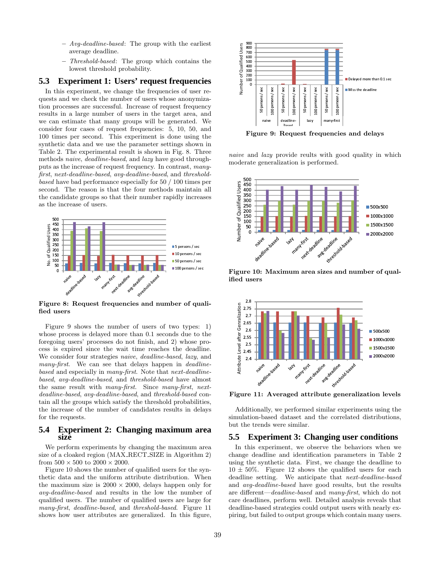- $-$  Avg-deadline-based: The group with the earliest average deadline.
- Threshold-based: The group which contains the lowest threshold probability.

## **5.3 Experiment 1: Users' request frequencies**

In this experiment, we change the frequencies of user requests and we check the number of users whose anonymization processes are successful. Increase of request frequency results in a large number of users in the target area, and we can estimate that many groups will be generated. We consider four cases of request frequencies: 5, 10, 50, and 100 times per second. This experiment is done using the synthetic data and we use the parameter settings shown in Table 2. The experimental result is shown in Fig. 8. Three methods naive, deadline-based, and lazy have good throughputs as the increase of request frequency. In contrast, manyfirst, next-deadline-based, avg-deadline-based, and thresholdbased have bad performance especially for 50 / 100 times per second. The reason is that the four methods maintain all the candidate groups so that their number rapidly increases as the increase of users.



Figure 8: Request frequencies and number of qualified users

Figure 9 shows the number of users of two types: 1) whose process is delayed more than 0.1 seconds due to the foregoing users' processes do not finish, and 2) whose process is expired since the wait time reaches the deadline. We consider four strategies naive, deadline-based, lazy, and many-first. We can see that delays happen in *deadline*based and especially in many-first. Note that next-deadlinebased, avg-deadline-based, and threshold-based have almost the same result with many-first. Since many-first, nextdeadline-based, avg-deadline-based, and threshold-based contain all the groups which satisfy the threshold probabilities, the increase of the number of candidates results in delays for the requests.

#### **5.4 Experiment 2: Changing maximum area size**

We perform experiments by changing the maximum area size of a cloaked region (MAX RECT SIZE in Algorithm 2) from  $500 \times 500$  to  $2000 \times 2000$ .

Figure 10 shows the number of qualified users for the synthetic data and the uniform attribute distribution. When the maximum size is  $2000 \times 2000$ , delays happen only for avg-deadline-based and results in the low the number of qualified users. The number of qualified users are large for many-first, deadline-based, and threshold-based. Figure 11 shows how user attributes are generalized. In this figure,



Figure 9: Request frequencies and delays

naive and lazy provide reults with good quality in which moderate generalization is performed.



Figure 10: Maximum area sizes and number of qualified users



Additionally, we performed similar experiments using the simulation-based dataset and the correlated distributions, but the trends were similar.

#### **5.5 Experiment 3: Changing user conditions**

In this experiment, we observe the behaviors when we change deadline and identification parameters in Table 2 using the synthetic data. First, we change the deadline to  $10 \pm 50\%$ . Figure 12 shows the qualified users for each deadline setting. We anticipate that next-deadline-based and avg-deadline-based have good results, but the results are different—deadline-based and many-first, which do not care deadlines, perform well. Detailed analysis reveals that deadline-based strategies could output users with nearly expiring, but failed to output groups which contain many users.